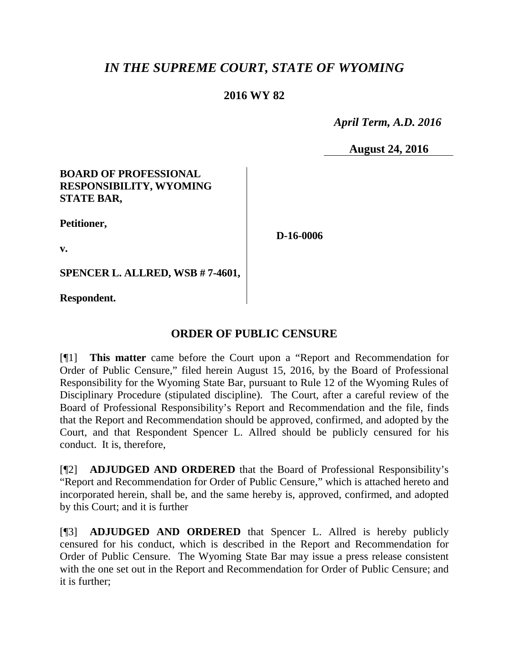# *IN THE SUPREME COURT, STATE OF WYOMING*

## **2016 WY 82**

 *April Term, A.D. 2016*

**August 24, 2016**

### **BOARD OF PROFESSIONAL RESPONSIBILITY, WYOMING STATE BAR,**

**Petitioner,**

**v.**

**D-16-0006**

**SPENCER L. ALLRED, WSB # 7-4601,**

**Respondent.**

## **ORDER OF PUBLIC CENSURE**

[¶1] **This matter** came before the Court upon a "Report and Recommendation for Order of Public Censure," filed herein August 15, 2016, by the Board of Professional Responsibility for the Wyoming State Bar, pursuant to Rule 12 of the Wyoming Rules of Disciplinary Procedure (stipulated discipline). The Court, after a careful review of the Board of Professional Responsibility's Report and Recommendation and the file, finds that the Report and Recommendation should be approved, confirmed, and adopted by the Court, and that Respondent Spencer L. Allred should be publicly censured for his conduct. It is, therefore,

[¶2] **ADJUDGED AND ORDERED** that the Board of Professional Responsibility's "Report and Recommendation for Order of Public Censure," which is attached hereto and incorporated herein, shall be, and the same hereby is, approved, confirmed, and adopted by this Court; and it is further

[¶3] **ADJUDGED AND ORDERED** that Spencer L. Allred is hereby publicly censured for his conduct, which is described in the Report and Recommendation for Order of Public Censure. The Wyoming State Bar may issue a press release consistent with the one set out in the Report and Recommendation for Order of Public Censure; and it is further;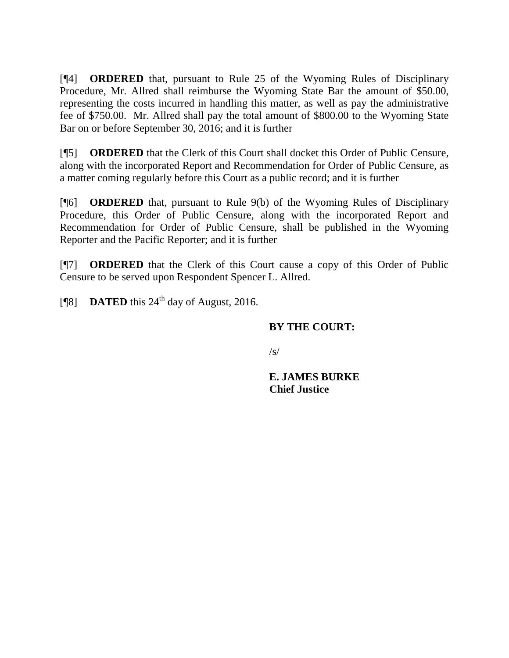[¶4] **ORDERED** that, pursuant to Rule 25 of the Wyoming Rules of Disciplinary Procedure, Mr. Allred shall reimburse the Wyoming State Bar the amount of \$50.00, representing the costs incurred in handling this matter, as well as pay the administrative fee of \$750.00. Mr. Allred shall pay the total amount of \$800.00 to the Wyoming State Bar on or before September 30, 2016; and it is further

[¶5] **ORDERED** that the Clerk of this Court shall docket this Order of Public Censure, along with the incorporated Report and Recommendation for Order of Public Censure, as a matter coming regularly before this Court as a public record; and it is further

[¶6] **ORDERED** that, pursuant to Rule 9(b) of the Wyoming Rules of Disciplinary Procedure, this Order of Public Censure, along with the incorporated Report and Recommendation for Order of Public Censure, shall be published in the Wyoming Reporter and the Pacific Reporter; and it is further

[¶7] **ORDERED** that the Clerk of this Court cause a copy of this Order of Public Censure to be served upon Respondent Spencer L. Allred.

[ $\textsf{N}$ 8] **DATED** this 24<sup>th</sup> day of August, 2016.

## **BY THE COURT:**

 $\sqrt{s}$ 

**E. JAMES BURKE Chief Justice**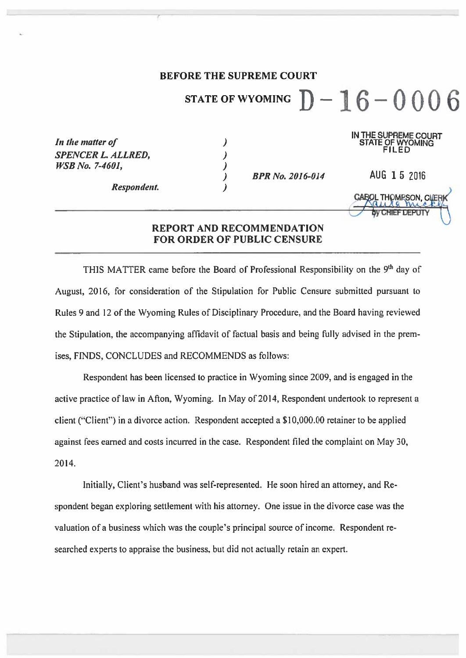### **BEFORE THE SUPREME COURT**

 $\lambda$ 

 $\lambda$ 

 $\lambda$ 

 $\lambda$ 

#### $D-16-0006$ **STATE OF WYOMING**

IN THE SUPREME COURT **STATE OF WYOMING** 

ĨILËD

AUG 1 5 2016

**THOMPSON, CL** 

In the matter of **SPENCER L. ALLRED, WSB No. 7-4601,** 

**BPR No. 2016-014** 

**Respondent.** 

**REPORT AND RECOMMENDATION** 

**FOR ORDER OF PUBLIC CENSURE** 

THIS MATTER came before the Board of Professional Responsibility on the 9<sup>th</sup> day of August, 2016, for consideration of the Stipulation for Public Censure submitted pursuant to Rules 9 and 12 of the Wyoming Rules of Disciplinary Procedure, and the Board having reviewed the Stipulation, the accompanying affidavit of factual basis and being fully advised in the premises, FINDS, CONCLUDES and RECOMMENDS as follows:

Respondent has been licensed to practice in Wyoming since 2009, and is engaged in the active practice of law in Afton, Wyoming. In May of 2014, Respondent undertook to represent a client ("Client") in a divorce action. Respondent accepted a \$10,000.00 retainer to be applied against fees earned and costs incurred in the case. Respondent filed the complaint on May 30, 2014.

Initially, Client's husband was self-represented. He soon hired an attorney, and Respondent began exploring settlement with his attorney. One issue in the divorce case was the valuation of a business which was the couple's principal source of income. Respondent researched experts to appraise the business, but did not actually retain an expert.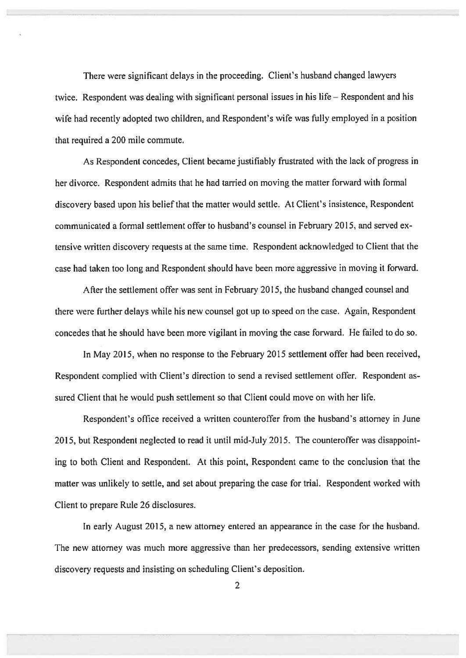There were significant delays in the proceeding. Client's husband changed lawyers twice. Respondent was dealing with significant personal issues in his life – Respondent and his wife had recently adopted two children, and Respondent's wife was fully employed in a position that required a 200 mile commute.

As Respondent concedes, Client became justifiably frustrated with the lack of progress in her divorce. Respondent admits that he had tarried on moving the matter forward with formal discovery based upon his belief that the matter would settle. At Client's insistence, Respondent communicated a formal settlement offer to husband's counsel in February 2015, and served extensive written discovery requests at the same time. Respondent acknowledged to Client that the case had taken too long and Respondent should have been more aggressive in moving it forward.

After the settlement offer was sent in February 2015, the husband changed counsel and there were further delays while his new counsel got up to speed on the case. Again, Respondent concedes that he should have been more vigilant in moving the case forward. He failed to do so.

In May 2015, when no response to the February 2015 settlement offer had been received, Respondent complied with Client's direction to send a revised settlement offer. Respondent assured Client that he would push settlement so that Client could move on with her life.

Respondent's office received a written counteroffer from the husband's attorney in June 2015, but Respondent neglected to read it until mid-July 2015. The counteroffer was disappointing to both Client and Respondent. At this point, Respondent came to the conclusion that the matter was unlikely to settle, and set about preparing the case for trial. Respondent worked with Client to prepare Rule 26 disclosures.

In early August 2015, a new attorney entered an appearance in the case for the husband. The new attorney was much more aggressive than her predecessors, sending extensive written discovery requests and insisting on scheduling Client's deposition.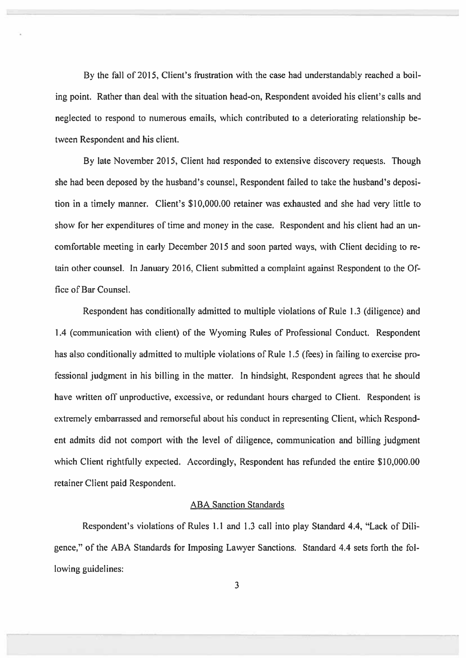By the fall of 2015, Client's frustration with the case had understandably reached a boiling point. Rather than deal with the situation head-on, Respondent avoided his client's calls and neglected to respond to numerous emails, which contributed to a deteriorating relationship between Respondent and his client.

By late November 2015, Client had responded to extensive discovery requests. Though she had been deposed by the husband's counsel, Respondent failed to take the husband's deposition in a timely manner. Client's \$10,000.00 retainer was exhausted and she had very little to show for her expenditures of time and money in the case. Respondent and his client had an uncomfortable meeting in early December 2015 and soon parted ways, with Client deciding to retain other counsel. In January 2016, Client submitted a complaint against Respondent to the Office of Bar Counsel.

Respondent has conditionally admitted to multiple violations of Rule 1.3 (diligence) and 1.4 (communication with client) of the Wyoming Rules of Professional Conduct. Respondent has also conditionally admitted to multiple violations of Rule 1.5 (fees) in failing to exercise professional judgment in his billing in the matter. In hindsight, Respondent agrees that he should have written off unproductive, excessive, or redundant hours charged to Client. Respondent is extremely embarrassed and remorseful about his conduct in representing Client, which Respondent admits did not comport with the level of diligence, communication and billing judgment which Client rightfully expected. Accordingly, Respondent has refunded the entire \$10,000.00 retainer Client paid Respondent.

#### **ABA Sanction Standards**

Respondent's violations of Rules 1.1 and 1.3 call into play Standard 4.4, "Lack of Diligence," of the ABA Standards for Imposing Lawyer Sanctions. Standard 4.4 sets forth the following guidelines: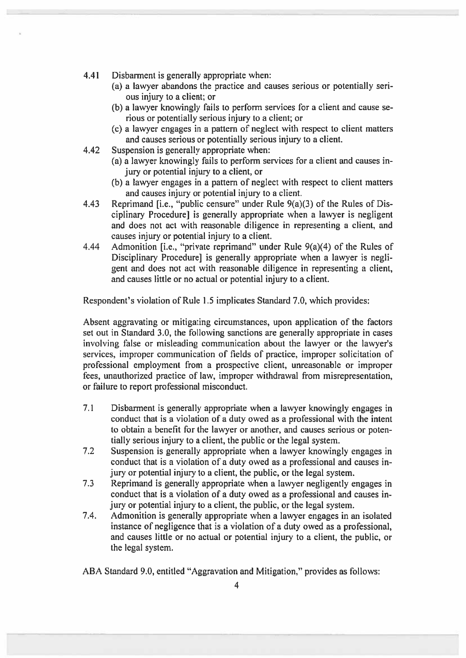- 4.41 Disbarment is generally appropriate when:
	- (a) a lawyer abandons the practice and causes serious or potentially serious injury to a client; or
	- (b) a lawyer knowingly fails to perform services for a client and cause serious or potentially serious injury to a client; or
	- (c) a lawyer engages in a pattern of neglect with respect to client matters and causes serious or potentially serious injury to a client.
- 4.42 Suspension is generally appropriate when:
	- (a) a lawyer knowingly fails to perform services for a client and causes injury or potential injury to a client, or
	- (b) a lawyer engages in a pattern of neglect with respect to client matters and causes injury or potential injury to a client.
- Reprimand J.e., "public censure" under Rule 9(a)(3) of the Rules of Dis-4.43 ciplinary Procedurel is generally appropriate when a lawyer is negligent and does not act with reasonable diligence in representing a client, and causes injury or potential injury to a client.
- Admonition [i.e., "private reprimand" under Rule 9(a)(4) of the Rules of 4.44 Disciplinary Procedure) is generally appropriate when a lawyer is negligent and does not act with reasonable diligence in representing a client, and causes little or no actual or potential injury to a client.

Respondent's violation of Rule 1.5 implicates Standard 7.0, which provides:

Absent aggravating or mitigating circumstances, upon application of the factors set out in Standard 3.0, the following sanctions are generally appropriate in cases involving false or misleading communication about the lawyer or the lawyer's services, improper communication of fields of practice, improper solicitation of professional employment from a prospective client, unreasonable or improper fees, unauthorized practice of law, improper withdrawal from misrepresentation, or failure to report professional misconduct.

- $7.1$ Disbarment is generally appropriate when a lawyer knowingly engages in conduct that is a violation of a duty owed as a professional with the intent to obtain a benefit for the lawyer or another, and causes serious or potentially serious injury to a client, the public or the legal system.
- $7.2$ Suspension is generally appropriate when a lawyer knowingly engages in conduct that is a violation of a duty owed as a professional and causes injury or potential injury to a client, the public, or the legal system.
- Reprimand is generally appropriate when a lawyer negligently engages in  $7.3$ conduct that is a violation of a duty owed as a professional and causes injury or potential injury to a client, the public, or the legal system.
- 7.4. Admonition is generally appropriate when a lawyer engages in an isolated instance of negligence that is a violation of a duty owed as a professional. and causes little or no actual or potential injury to a client, the public, or the legal system.

ABA Standard 9.0, entitled "Aggravation and Mitigation," provides as follows: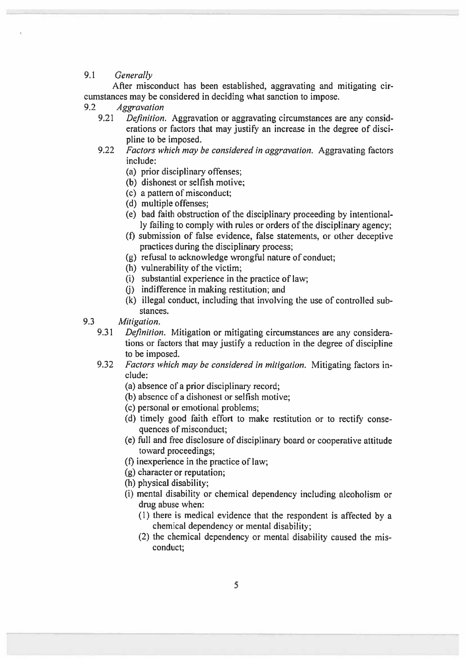#### $9.1$ Generally

After misconduct has been established, aggravating and mitigating circumstances may be considered in deciding what sanction to impose.

#### $9.2$ **Aggravation**

- 9.21 *Definition.* Aggravation or aggravating circumstances are any considerations or factors that may justify an increase in the degree of discipline to be imposed.
- 9.22 Factors which may be considered in aggravation. Aggravating factors include:
	- (a) prior disciplinary offenses;
	- (b) dishonest or selfish motive;
	- (c) a pattern of misconduct:
	- (d) multiple offenses:
	- (e) bad faith obstruction of the disciplinary proceeding by intentionally failing to comply with rules or orders of the disciplinary agency;
	- (f) submission of false evidence, false statements, or other deceptive practices during the disciplinary process:
	- (g) refusal to acknowledge wrongful nature of conduct;
	- (h) vulnerability of the victim;
	- (i) substantial experience in the practice of law:
	- (i) indifference in making restitution; and
	- (k) illegal conduct, including that involving the use of controlled substances.
- 9.3 Mitigation.
	- 9.31 *Definition*. Mitigation or mitigating circumstances are any considerations or factors that may justify a reduction in the degree of discipline to be imposed.
	- 9.32 Factors which may be considered in mitigation. Mitigating factors include:
		- (a) absence of a prior disciplinary record;
		- (b) absence of a dishonest or selfish motive;
		- (c) personal or emotional problems:
		- (d) timely good faith effort to make restitution or to rectify consequences of misconduct:
		- (e) full and free disclosure of disciplinary board or cooperative attitude toward proceedings;
		- (f) in experience in the practice of law;
		- (g) character or reputation;
		- (h) physical disability;
		- (i) mental disability or chemical dependency including alcoholism or drug abuse when:
			- (1) there is medical evidence that the respondent is affected by a chemical dependency or mental disability:
			- (2) the chemical dependency or mental disability caused the misconduct: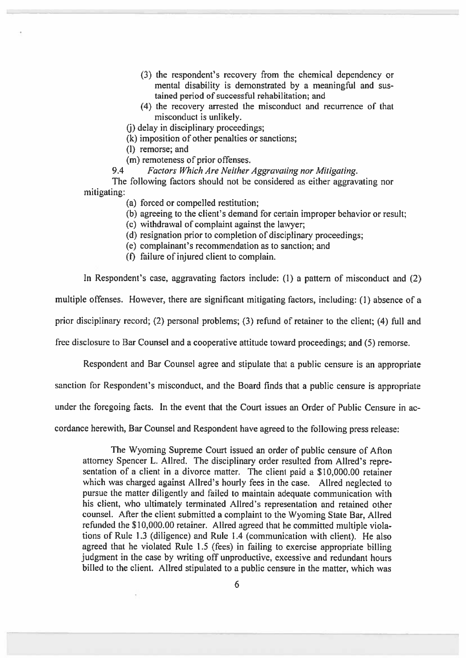- (3) the respondent's recovery from the chemical dependency or mental disability is demonstrated by a meaningful and sustained period of successful rehabilitation; and
- (4) the recovery arrested the misconduct and recurrence of that misconduct is unlikely.

(i) delay in disciplinary proceedings:

(k) imposition of other penalties or sanctions;

(l) remorse; and

(m) remoteness of prior offenses.

 $9.4$ Factors Which Are Neither Aggravating nor Mitigating.

The following factors should not be considered as either aggravating nor mitigating:

- (a) forced or compelled restitution:
- (b) agreeing to the client's demand for certain improper behavior or result;
- (c) withdrawal of complaint against the lawyer;
- (d) resignation prior to completion of disciplinary proceedings;
- (e) complainant's recommendation as to sanction: and
- (f) failure of injured client to complain.

In Respondent's case, aggravating factors include: (1) a pattern of misconduct and (2)

multiple offenses. However, there are significant mitigating factors, including: (1) absence of a

prior disciplinary record; (2) personal problems; (3) refund of retainer to the client; (4) full and

free disclosure to Bar Counsel and a cooperative attitude toward proceedings; and (5) remorse.

Respondent and Bar Counsel agree and stipulate that a public censure is an appropriate

sanction for Respondent's misconduct, and the Board finds that a public censure is appropriate

under the foregoing facts. In the event that the Court issues an Order of Public Censure in ac-

cordance herewith, Bar Counsel and Respondent have agreed to the following press release:

The Wyoming Supreme Court issued an order of public censure of Afton attorney Spencer L. Allred. The disciplinary order resulted from Allred's representation of a client in a divorce matter. The client paid a \$10,000.00 retainer which was charged against Allred's hourly fees in the case. Allred neglected to pursue the matter diligently and failed to maintain adequate communication with his client, who ultimately terminated Allred's representation and retained other counsel. After the client submitted a complaint to the Wyoming State Bar, Allred refunded the \$10,000.00 retainer. Allred agreed that he committed multiple violations of Rule 1.3 (diligence) and Rule 1.4 (communication with client). He also agreed that he violated Rule 1.5 (fees) in failing to exercise appropriate billing judgment in the case by writing off unproductive, excessive and redundant hours billed to the client. Allred stipulated to a public censure in the matter, which was